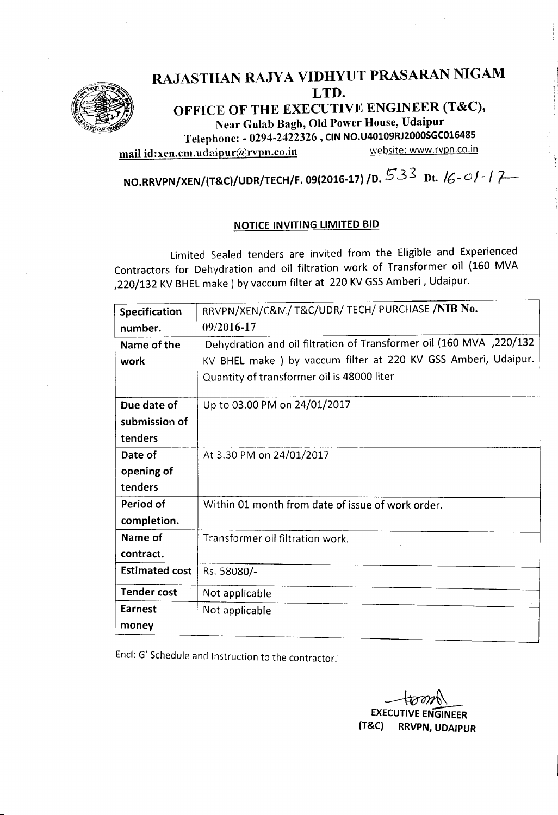

# RAJASTHAN RAJYA VIDHYUT PRASARAN NIGAM LTD.

OFFICE OF THE EXECUTIVE ENGINEER (T&C), Near Gulab Bagh, Old Power House, Udaipur

Telephone: - 0294-2422326, CIN NO.U40109RJ2000SGC016485

mail id:xen.cm.udaipur@rvpn.co.in

NO.RRVPN/XEN/(T&C)/UDR/TECH/F. 09(2016-17) /0. *5'3:S* Dt. *16·-0/- <sup>f</sup> 7--*

## NOTICE INVITING LIMITED BID

Limited Sealed tenders are invited from the Eligible and Experienced Contractors for Dehydration and oil filtration work of Transformer oil (160 MVA ,220/132 KV BHEL make) by vaccum filter at 220 KV GSSAmberi , Udaipur.

| Specification         | RRVPN/XEN/C&M/T&C/UDR/TECH/ PURCHASE /NIB No.                        |  |  |  |
|-----------------------|----------------------------------------------------------------------|--|--|--|
| number.               | 09/2016-17                                                           |  |  |  |
| Name of the           | Dehydration and oil filtration of Transformer oil (160 MVA , 220/132 |  |  |  |
| work                  | KV BHEL make ) by vaccum filter at 220 KV GSS Amberi, Udaipur.       |  |  |  |
|                       | Quantity of transformer oil is 48000 liter                           |  |  |  |
| Due date of           | Up to 03.00 PM on 24/01/2017                                         |  |  |  |
| submission of         |                                                                      |  |  |  |
| tenders               |                                                                      |  |  |  |
| Date of               | At 3.30 PM on 24/01/2017                                             |  |  |  |
| opening of            |                                                                      |  |  |  |
| tenders               |                                                                      |  |  |  |
| Period of             | Within 01 month from date of issue of work order.                    |  |  |  |
| completion.           |                                                                      |  |  |  |
| Name of               | Transformer oil filtration work.                                     |  |  |  |
| contract.             |                                                                      |  |  |  |
| <b>Estimated cost</b> | Rs. 58080/-                                                          |  |  |  |
| <b>Tender cost</b>    | Not applicable                                                       |  |  |  |
| Earnest               | Not applicable                                                       |  |  |  |
| money                 |                                                                      |  |  |  |

Encl: G' Schedule and Instruction to the contractor.

EXECUTIVE ENGINEER

(T&C) RRVPN,UDAIPUR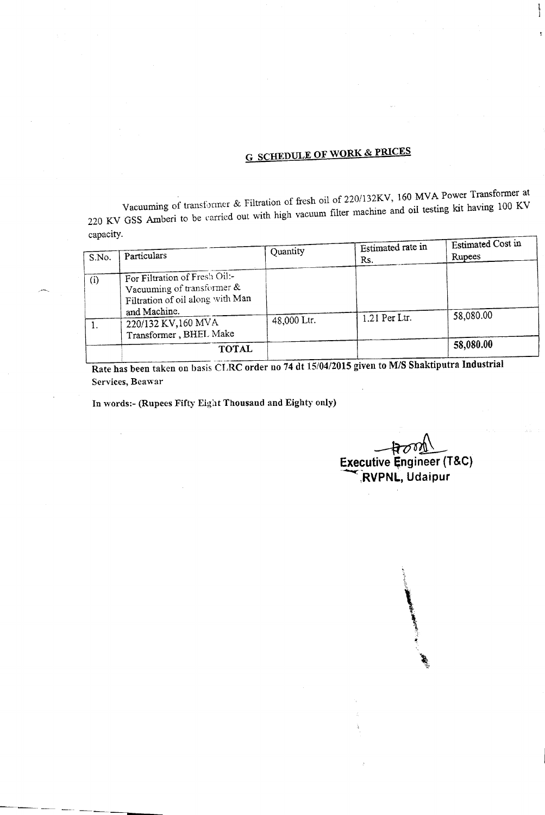# G SCHEDULE OF WORK & PRICES

Vacuuming of transformer & Filtration of fresh oil of 220/132KV, 160 MVA Power Transformer at 220 KV GSS Amberi to be carried out with high vacuum filter machine and oil testing kit having 100 KV capacity.

| S.No. | Particulars                                                                                     | Quantity    | Estimated rate in<br>Rs. | Estimated Cost in<br>Rupees |
|-------|-------------------------------------------------------------------------------------------------|-------------|--------------------------|-----------------------------|
| (i)   | For Filtration of Fresh Oil:-<br>Vacuuming of transformer &<br>Filtration of oil along with Man |             |                          |                             |
|       | and Machine.<br>220/132 KV,160 MVA<br>Transformer, BHEL Make                                    | 48,000 Ltr. | 1.21 Per Ltr.            | 58,080.00                   |
|       | <b>TOTAL</b>                                                                                    |             |                          | 58,080.00                   |

Rate has been taken on basis CLRC order no 74 dt 15/04/2015 given to *M/S* Shaktiputra Industria Services, Beawar

In words:- (Rupees Fifty Eight Tnousand and Eighty only)

~ ~~utive **engineer (T&C) ,RVPNL, Udaipu** 

 $\,$ 

المطلوب المناسب.<br>المناسب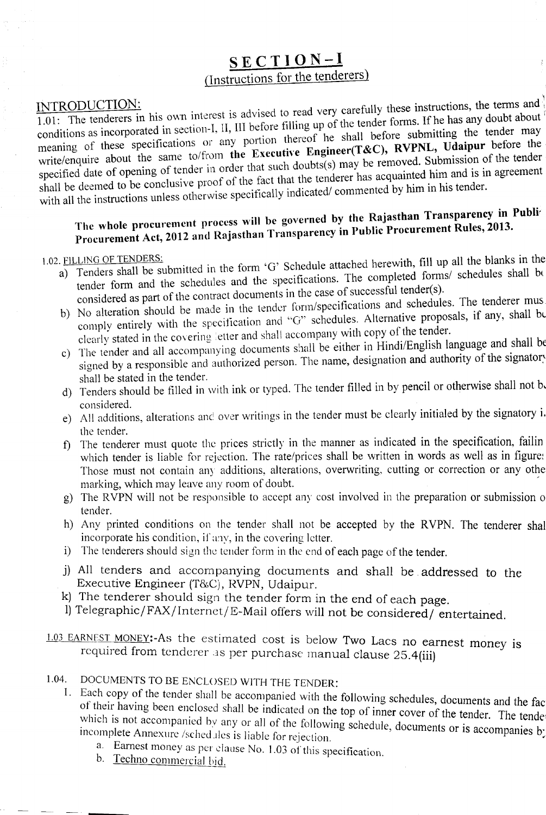# SECTION-I (Instructions for the tenderers)

INTRODUCTION:<br> $\frac{1}{100}$  The tenderers in his own interest is advised to read very carefully these instructions, the terms and conditions as incorporated in section-I, II, III before filling up of the tender forms. If he has any doubt about meaning of these specifications or any portion thereof he shall before submitting the tender may write/enquire about the same to/from the Executive Engineer(T&C), RVPNL, Udaipur before the specified date of opening of tender in order that such doubts(s) may be removed. Submission of the tender shall be deemed to be conclusive proof of the fact that the tenderer has acquainted him and is in agreement with all the instructions unless otherwise specifically indicated/ commented by him in his tender.

# The whole procurement process will be governed by the Rajasthan Transparency in Publi: Procurement Act, 2012 and Rajasthan Transparency in Public Procurement Rules, 2013.

- 1.02. FILLING OF TENDERS:<br>a) Tenders shall be submitted in the form 'G' Schedule attached herewith, fill up all the blanks in the tender form and the schedules and the specifications. The completed forms/ schedules shall br considered as part of the contract documents in the case of successful tender(s).
	- b) No alteration should be made in the tender form/specifications and schedules. The tenderer mus comply entirely with the specification and "G" schedules. Alternative proposals, if any, shall be clearly stated in the covering letter and shall accompany with copy of the tender.
	- c) The tender and all accompanying documents shall be either in Hindi/English language and shall be signed by a responsible and authorized person. The name, designation and authority of the signatory shall be stated in the tender.
	- d) Tenders should be filled in with ink or typed. The tender filled in by pencil or otherwise shall not b, considered.
	- e) All additions, alterations and over writings in the tender must be clearly initialed by the signatory  $\bar{P}$ The tender.  $\frac{1}{2}$  is the tender of  $\frac{1}{2}$  in the tender.
	- f) The tenderer must quote the prices strictly in the manner as indicated in the specification, failin which tender is liable for rejection. The rate/prices shall be written in words as well as in figure: Those must not contain any additions, alterations, overwriting, cutting or correction or any othe marking, which may leave any room of doubt.
	- g) The RVPN will not be responsible to accept any cost involved in the preparation or submission o
	- tender.<br>h) Any printed conditions on the tender shall not be accepted by the RVPN. The tenderer shal incorporate his condition, if any, in the covering letter.
	- i) The tenderers should sign the tender form in the end of each page of the tender.
	- j) All tenders and accompanying documents and shall be addressed to the Executive Engineer (T&C), RVPN, Udaipur.
	- k) The tenderer should sign the tender form in the end of each page.
	- 1) Telegraphic/FAX/Internet/E-Mail offers will not be considered/entertained.
- 1.03 EARNEST MONEY:-As the estimated cost is below Two Lacs no earnest money is required from tenderer as per purchase manual clause 25.4(iii)
- 1.04. DOCUMENTS TO BE ENCLOSED WITH THE TENDER:
	- 1. Each copy of the tender shall be accompanied with the following schedules, documents and the fac of their having been enclosed shall be indicated on the top of  $\lim_{n \to \infty} \frac{1}{n}$  Cellularly and the factors of the factors of  $\frac{1}{n}$ which is not accompanied by any or all of the following  $\frac{1}{2}$  inner cover of the tender. T which is not accompanied by any or all of the following schedule, documents or is accompanies by incomplete Annexure /schedules is liable for rejection.
		- Earnest money as per clause No. 1.03 of this specification.  $\mathbf{b}$ . Techno commercial bid.  $\mathbf{b}$
		-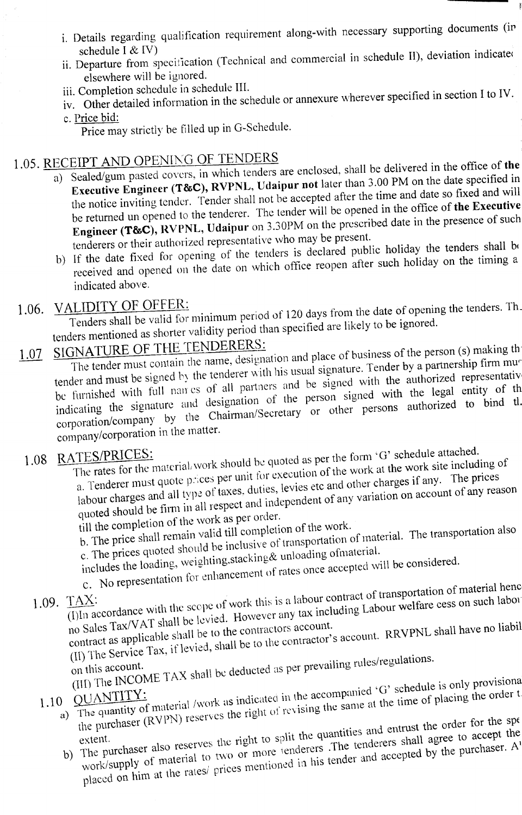- i. Details regarding qualification requirement along-with necessary supporting documents (in schedule I & IV)<br>ii, Departure from specification (Technical and commercial in schedule II), deviation indicate
- elsewhere will be ignored.
- iii. Completion schedule in schedule III.
- iv. Other detailed information in the schedule or annexure wherever specified in section I to IV.

## c. Price bid:

Price may strictly be filled up in G-Schedule.

# 1.05. RECEIPT AND OPENING OF TENDERS

- a) Sealed/gum pasted covers, in which tenders are enclosed, shall be delivered in the office of the Executive Engineer (T&C), RVPNL, Udaipur not later than 3.00 PM on the date specified in the notice inviting tender. Tender shall not be accepted after the time and date so fixed and will be returned un opened to the tenderer. The tender will be opened in the office of the Executive Engineer (T&C), RVPNL, Udaipur on 3.30PM on the prescribed date in the presence of such tenderers or their authorized representative who may be present.
- b) If the date fixed for opening of the tenders is declared public holiday the tenders shall be received and opened on the date on which office reopen after such holiday on the timing a indicated above.

1.06. VALIDITY OF OFFER: Tenders shall be valid for minimum period of 120 days from the date of opening the tenders. Th, tenders mentioned as shorter validity period than specified are likely to be ignored.

## SIGNATURE OF THE TENDERERS:  $1.07$

The tender must contain the name, designation and place of business of the person (s) making the The tender must contain the name, designation and place of business of the person (s) making the tender and must be signed by the tenderer with his usual signature. Tender by a partnership firm mur be furnished with full names of all partners and be signed with the authorized representative indicating the signature and designation of the person signed with the legal entity of the indicating the signature and designation of the person signed with the legal entity of the corporation/company by the Chairman/Secretary or other persons authorized to bind tl, company/corporation in the matter.

1.08 RATES/PRICES:<br>The rates for the material/work should be quoted as per the form 'G' schedule attached.  $T_{\text{L}}$   $\frac{1}{2}$   $\frac{1}{2}$   $\frac{1}{2}$   $\frac{1}{2}$   $\frac{1}{2}$   $\frac{1}{2}$   $\frac{1}{2}$   $\frac{1}{2}$   $\frac{1}{2}$   $\frac{1}{2}$   $\frac{1}{2}$   $\frac{1}{2}$   $\frac{1}{2}$   $\frac{1}{2}$   $\frac{1}{2}$   $\frac{1}{2}$   $\frac{1}{2}$   $\frac{1}{2}$   $\frac{1}{2}$   $\frac{1}{2}$   $\frac{1}{2}$   $\alpha$ . The rates for the must prices per unit for execution of the work at the work  $\alpha$ . The prices labour charges and all type of taxes, duties, levies etc and other charges if any. The prices quoted should be firm in all respect and independent of any variation on account of any reason

till the completion of the work as per order.<br>b. The price shall remain valid till completion of the work.  $\epsilon_{\rm b}$ . The price shall remain valid till completion of the work.<br>b. The price shall remain valid be inclusive of transportation of material. The transportation also

 $\epsilon$ . The preceding, weighting, stacking a unioding of material.<br>includes the loading, weighting, stacking a unioding of rate once accepted will be considered.

 $c$ . No representation for enhancement of  $\alpha$  $1.09 \text{ TAX}$ :  $2.1 \text{ this is a labour contract of transportation of an acosh label}$ 

 $\frac{1}{1}$  and  $\frac{1}{1}$  accordance with the scope of work this is a new including Labour welfare cess on such not  $\frac{1}{100}$  Sales Tax/VAT shall be levied. However any tax increased to the contractors account

no sales functional shall be to the contractors account. RRVPNL shall have no have pplicable shall be to the contractor's account. (I) The Service Tax, if levice

S

on this account.  $\frac{1}{2}$   $\frac{1}{2}$  1. It be deducted as per prevailing rules/regulations. (III) The INCOME TAX strait be

1.10 QUANTITY: (III) The Hydrophia<br>(10)  $\underline{\text{QUANTITY}}$ :<br>(10)  $\underline{\text{QUANTITY}}$ :<br>(10)  $\underline{\text{QUANTITY}}$ :

- The quantity of  $\mathbb{R}$  reserves the right of it  $\mathbb{R}$  is the purchaser (RVPN) reserves the right of it  $\mathbb{R}$ the purchaser  $(x, y, z)$ . extent.<br>Extent also reserves the right to split the quantities is determined agree to accept the
- The purchaser also reserve to two or more lenderers. The tensor accepted by the purchaser.  $A$ placed on him a work/supply of material to two or more tenderers. The tenderers shall agree to accept the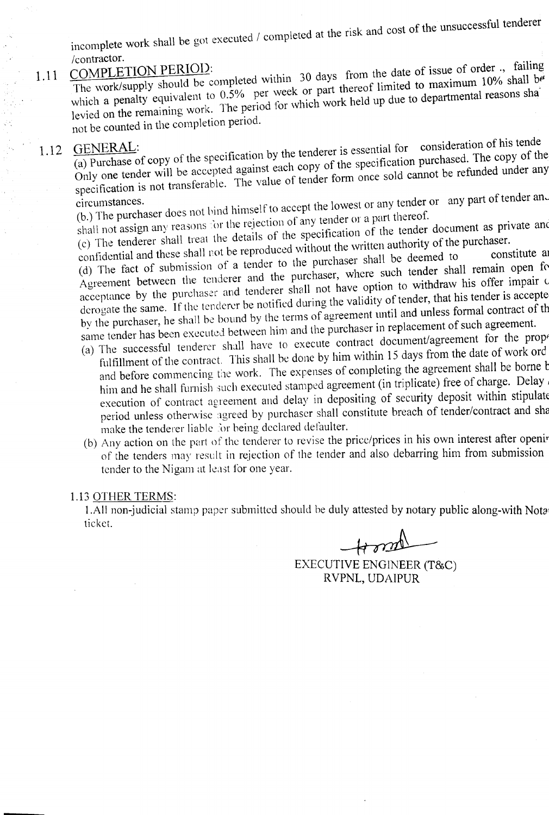incomplete work shall be got executed / completed at the risk and cost of the unsuccessful tenderer

# /contractor.<br>COMPLETION PERIOD:

1.11 COMPLETION PERIOD:<br>The work/supply should be completed within 30 days from the date of issue of order ., failing<br> $\frac{100}{6}$  shall he which a penalty equivalent to  $0.5\%$  per week or part thereof limited to maximum 10% shall be levied on the remaining work. The period for which work held up due to departmental reasons shall not be counted in the completion period.

1.12 GENERAL:<br>
(a) Purchase of copy of the specification by the tenderer is essential for consideration of his tendered  $\frac{1}{2}$ . Only one tender will be accepted against each copy of the specification purchased. The copy of the specification is not transferable. The value of tender form once sold cannot be refunded under any

(b.) The purchaser does not bind himself to accept the lowest or any tender or any part of tender an. shall not assign any reasons for the rejection of any tender or a part thereof.

(c) The tenderer shall treat the details of the specification of the tender document as private anc

confidential and these shall not be reproduced without the written authority of the purchaser.<br>
(d) The fact of submission of a tender to the purchaser shall be deemed to constitute at  $\frac{1}{2}$  The fact of submission of a tender to the purchaser shall be defined to constant open for  $\mu$  agreement between the tenderer and the purchaser, where such tender shall remain open acceptance by the purchaser and tenderer shall not have option to withdraw his offer impair  $\epsilon$ derogate the same. If the tenderer be notified during the validity of tender, that his tender is accepte by the purchaser, he shall be bound by the terms of agreement until and unless formal contract of the same tender has been executed between him and the purchaser in replacement of such agreement.

- (a) The successful tenderer shall have to execute contract document/agreement for the propfulfillment of the contract. 1 his shall be done by him within 15 days from the date of work ord and before commencing the work. The expenses of completing the agreement shall be borne b him and he shall furnish such executed stamped agreement (in triplicate) free of charge. Delay execution of contract agreement and delay in depositing of security deposit within stipulate period unless otherwise agreed by purchaser shall constitute breach of tender/contract and sha make the tenderer liable for being declared defaulter.
- (b) Any action on the part of the tenderer to revise the price/prices in his own interest after openir of the tenders may result in rejection of the tender and also debarring him from submission tender to the Nigam at least for one year.

## 1.13 OTHER TERMS:

ticket.  $1.$ All non-judicial stamp paper submitted should be duly <mark>atteste</mark>d by notary publi<mark>c along-with Not</mark>a

~

EXECUTIVE ENGINEER (T&C) RVPNL, UDAIPUR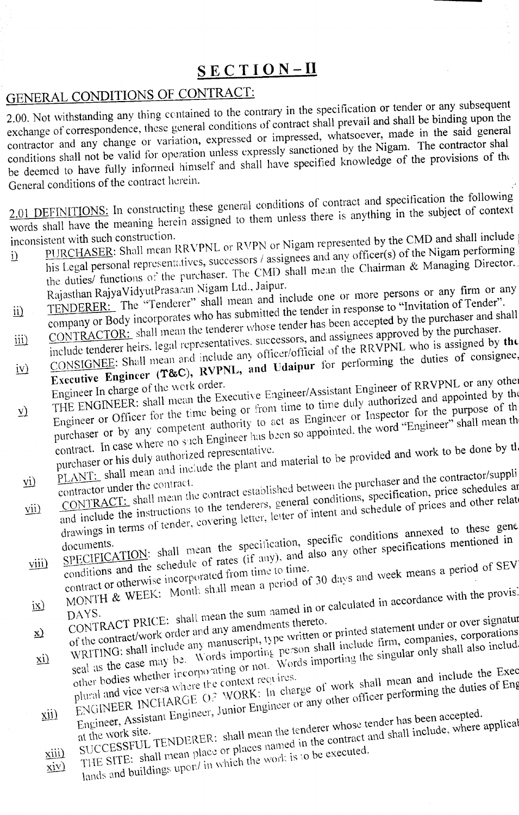# **SECTION-II**

# GENERAL CONDITIONS OF CONTRACT:

2.00. Not withstanding any thing contained to the contrary in the specification or tender or any subsequent exchange of correspondence, these general conditions of contract shall prevail and shall be binding upon the contractor and any change or variation, expressed or impressed, whatsoever, made in the said general conditions shall not be valid for operation unless expressly sanctioned by the Nigam. The contractor shall be deemed to have fully informed himself and shall have specified knowledge of the provisions of the General conditions of the contract herein.

2.01 DEFINITIONS: In constructing these general conditions of contract and specitication the following words shall have the meaning herein assigned to them unless there is anything in the subject of context

inconsistent with such construction.<br>i) PURCHASER: Shall mean RRVPNL or RVPN or Nigam represented by the CMD and shall include<br>i) PURCHASER: Shall mean RRVPNL or RVPN or Nigam represented by the Nigam performing his Legal personal representatives, successors / assignees and any officer(s) of the Nigam performing the duties/ functions of the purchaser. The CMD shall mean the Chairman & Managing Director.

Rajasthan Rajya VidyutPrasaran Nigam Ltd., Jaipur. TENDERER: The "Tenderer" shall mean and include one or more persons or any firm or any

- company or Body incorporates who has submitted the tender in response to "Invitation of Tender". CONTRACTOR: shall mean the tenderer whose tender has been accepted by the purchaser and shall ii)
- include tenderer heirs, legal representatives. successors, and assignees approved by the purchaser. CONSIGNEE: Shall mean and include any officer/official of the RRVPNL who is assigned by the iii)
- Executive Engineer (T&C), RVPNL, and Udaipur for performing the duties of consignee.  $iv)$ Engineer In charge of the work order.<br>Engineer of RRVPNL or any other executive Engineer/Assistant Engineer of RRVPNL or any other
- Engineer or Officer for the time being or from time to time duly authorized and appointed by the purpose of the purpose of the contract. In case where no such Engineer has been so appointed, the word "Engineer" shall mean purchaser or by any competent authority to act as Engineer or Inspector for the purpose of the purchaser or by any competent authority to act as Engineer or Inspector for the purpose of the contract. In case where no such THE ENGINEEN. Shall there being or from time to tune duly authorize for the purpose of the  $\mathbf{v}$ )

 $p_{\text{subuser}}$  or his duly authorized representative. plantified  $\frac{1}{2}$  shall mean and include the plant and  $\frac{1}{2}$ 

- contractor under the contract.<br>CONTRACT: shall mean the contract established between the purchaser and the contractor/suppin<br>and include the instructions to the tenderers, general conditions, specification, price schedules  $\overline{vi}$ et ANT: shall them.<br>contractor under the contract.<br>contractor and the contract established between the purchaser and the contractor/suppre  $\epsilon$  contracted the shall mean the contract established  $\epsilon$ . conditions, specification, price schedules relation
- drawings in terms of tender, covering letter, letter of intent and schedule of prices and other relat  $v$ <u>ii</u>)  $\alpha$  and  $\alpha$  is equipped to the section of  $\alpha$  conditions annexed to the montioned in  $\frac{1}{2}$  documents.<br> $\frac{1}{2}$   $\frac{1}{2}$   $\frac{1}{2}$   $\frac{1}{2}$   $\frac{1}{2}$   $\frac{1}{2}$  and  $\frac{1}{2}$  and  $\frac{1}{2}$  any other specifications mentioned
	- $viii)$  $\frac{1}{\pi}$  and the schedule of rates  $(\frac{1}{\pi}, \frac{1}{\pi})$ conditions and the science of  $\epsilon$  from time to time.<br>contract or otherwise incorporated from time to time. d MONTH & WEEK: Month sh.111mean a pellO 0 - . . ..
	- $i x$  $MUN111 \alpha$  we have a small in or calculated in accordance when the providence  $MUN111 \alpha$
	- CONTRACT PRICE: shall mean the sum of the sum of the statement under or over signature.  $CUNI RACI$ <sup>1</sup>  $\mathbf{X}$ where contract work any manuscript, type which hall include firm, companies, experiency when we are well include any manuscript, type which include firm, companies, experiency when we work in the singular only shall also i
	- when the case may be. Words importing person shall include firm, companies, corporations seal as the case may be. Words importing words importing the singular only shall also included  $\mathbf{r}$  $\mathbf{X}$ other bodies whether theorem and equines.<br>Other bodies versa where the context requires.<br>In charge of work shall mean and include the Execution of the  $\mu$ lural and vice  $\ell_{\text{max}}$   $\mu_{\text{max}}$  or  $\ell_{\text{max}}$  are only other officer performing the duties of  $\ell_{\text{max}}$  $\lim_{x \to 1}$  ENGINEER INCHANGE or Junior Engineer or any
		- Engineer, Assistant Engineer,  $\frac{1}{2}$  is tenderer whose tender has been accepted. at the work site.  $T_{\text{ENDER}}$ : shall mean the contract and shall include, where  $T_{\text{ENDER}}$ at the work site.<br>SUCCESSFUL TENDERER: shall mean the tenderer whose tender has been accepted.<br>SUCCESSFUL TENDERER: shall mean place or places named in the contract and shall include, where a
		- $\frac{\text{SUCCESSFUL} \cdot \text{FIVD}}{\text{THE SITE: shall mean place or places named in the event}}$
		- lands and buildings upon/ in which the work is to be executed.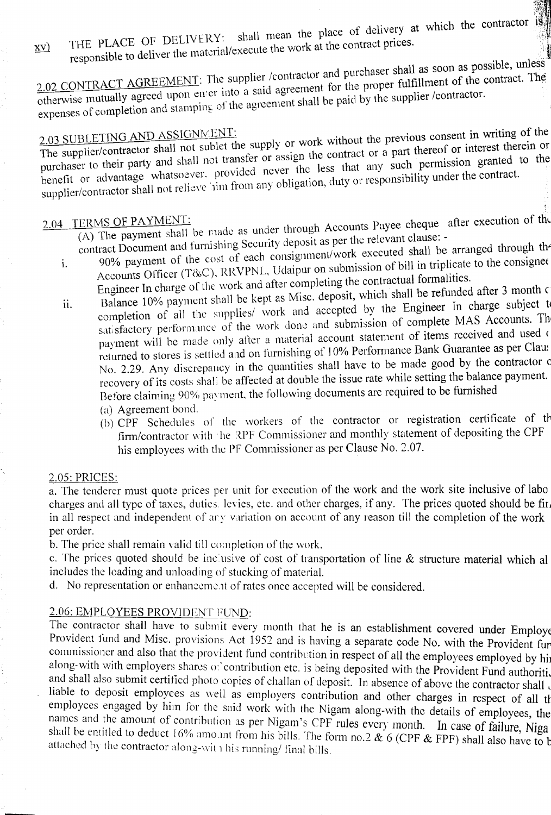THE PLACE OF DELIVERY: shall mean the place of delivery at which the contractor is responsible to deliver the material/execute the work at the contract prices. <u>xv)</u>

 $\epsilon_{\text{2.2}}$  CONTRACT and supplier /contractor and purchaser shall as soon as possible, the contract. The  $\frac{2.02 \text{ CONIRAC1 RONED1}}{11 \text{ second upon enter into a said agreement for the proper minimum of } t$ otherwise mutually agreed upon enter into a said agreement for the proper fulfillment of the contract. The expenses of completion and stamping of the agreement shall be paid by the supplier /contractor.

The supplier/contractor shall not sublet the supply or work without the previous consent in writing of the purchaser to their party and shall not transfer or assign the contract or a part thereof or interest therein or benefit or advantage whatsoever. provided never the less that any such permission granted to the supplier/contractor shall not relieve him from any obligation, duty or responsibility under the contract.

- 2.04 TERMS OF PAYMENT: (A) The payment shall be made as under through Accounts Payee cheque after execution of the contract Document and furnishing Security deposit as per the relevant clause: -
	- 1. 90% payment of the cost of each consignment/work executed shall be arranged through the<br>1. 90% payment of the cost of each consignment/work executed shall be arranged through the Accounts Officer (T&C), RRVPNL, Udaipur on submission of bill in triplicate to the consignee Engmeer In charge of the work and after completing the contractual formalities.
	- ii. Balance 10% payment shall be kept as Misc. deposit, which shall be refunded after 3 month ( completion of all the supplies/ work and accepted by the Engineer In charge subject to satisfactory performance of the work done and submission of complete MAS Accounts. Th payment will be made only after a material account statement of items received and used ( returned to stores is settled and on furnishing of 10% Performance Bank Guarantee as per Claus No. 2.29. Any discrepancy in the quantities shall have to be made good by the contractor c recovery of its costs shall be affected at double the issue rate while setting the balance payment. Before claiming 90% payment, the following documents are required to be furnished
		- (a) Agreement bond.
		- (b) CPF Schedules of the workers of the contractor or registration certificate of the firm/contractor itl he !~PF ., 01 regis ration certificate of tr firm/contractor with the RPF Commissioner and monthly statement of depositing the CPF his employees with the PF Commissioner as per Clause No. 2.07.

## 2.05: PRICES:

a. The tenderer must quote prices per unit for execution of the work and the work site inclusive of labo charges and all type of taxes, duties. levies, etc. and other charges, if any. The prices quoted should be fin. thinges and an type of anos, addes, fortes, or and other emages, it any. The prices quoted should be fire in all respect and independent of any variation on account of any reason till the completion of the work

b. The price shall remain valid till completion of the work.

c. The prices quoted should be inclusive of cost of transportation of line  $\&$  structure material which al includes the loading and unloading of stucking of material.

d. No representation or enhancement of rates once accepted will be considered.

## 2.06: EMPLOYEES PROVIDENT FUND:

The contractor shall have to submit every month that he is an establishment covered under Employe Provident fund and Misc. provisions Act 1052 and is boring and establishment covered und conditions and interest provisions Act 1992 and is naving a separate code No. with the Provident full commissioner and also that the provident fund contribution in respect of all the employees employed by him along-with with employers shares of contribution etc. is being deposited with the Provident Fund authoriti, and shall also submit certified photo copies of challan of deposit. In absence of above the contractor shall, liable to deposit employees as well as employers contribution and other charges in respect of all the employees engaged by him for the said work with the Nigam along-with the details of employees, the names and the amount of contribution as per Nigam's CPF rules every month. In case of failure, Niga shall be cintricu to deduct 10% amount from his bills. The form no.2  $\&$  6 (CPF  $\&$  FPF) shall also have to be attached by the contractor along-with his running/ final bills.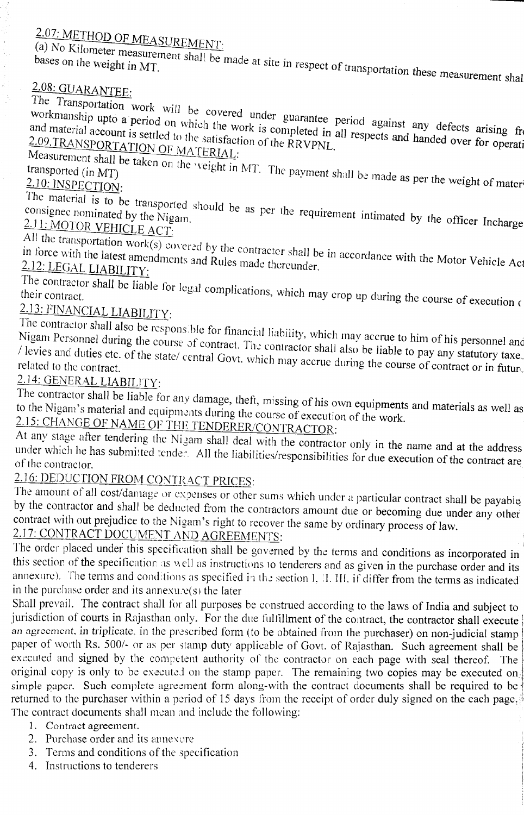# 2.07: METHOD OF MEASUREMENT:

 $\frac{1}{2}$  k<sub>llometer</sub> measurement shall be made  $\cdots$ .

bases on the weight in MT.  $\frac{1}{2}$  and  $\frac{1}{2}$  at site in respect of transportation the vertex of transportation the vertex of transportation the vertex of transportation the vertex of transportation the vertex of tra . Estabelli interventioni interventioni interventioni interventioni shallo

*2.08: GUARANTEE:*

The Transportation work will be consult

and material account  $\frac{1}{2}$  and  $\frac{1}{2}$  and  $\frac{1}{2}$  arising frequency and material account  $\frac{1}{2}$  and  $\frac{1}{2}$  and  $\frac{1}{2}$  arising frequency of  $\frac{1}{2}$  and  $\frac{1}{2}$  arising frequency of  $\frac{1}{2}$  and  $\frac{1$ Workmanship upto a period on which the work is completed in all respects and handed over for operation 2.09.TRANSPORTATION OF MATEDIAL *TATION* OF MATERIAL' .

 $\frac{1}{2}$  measurement shall be taken on the weight is transported (in MT) g the state in MT, The payment shall be made as per the weight of  $\alpha$  $2.10:$  INSPECTION:

The material is to be transported should be as  $\mathbb{R}$  . consignee nominated by the Nigam.  $\sim$   $\sim$   $\sim$   $\mu$  the requirement intimated by the officer Incharge 1 consignee nominated by the Nigam.<br>2.11: MOTOR VEHICLE ACT:

All the transportation work(s) covered by the contractor shall be in accordance with the Motor Vehicle Act<br>in force with the latest amendments and Rules mada thore and the in accordance with the Motor Vehicle Act in force with the latest amendments and Rules made thereunder.<br>2.12: LEGAL LIABILITY.

The contractor shall be liable for legal complications , which  $\ldots$ their contract.  $\mathcal{L}$  is the contract.

# 2.13: FINANCIAL LIABILITY:

The contractor shall also be responsible for financial liability, which may accrue to him of his personnel and Nigam Personnel during the course of contract. The contractor shall also be liable to pay any statutory taxe. we are defined to the state/ central Govt. which may accrue during the course of contract or in future-<br>1. The contract of the contract.

# 2.14: GENERAL LIABILITY:

The contractor shall be liable for any damage, theft, missing of his own equipments and materials as well as to the Nigam's material and equipments during the course of execution of the work.

2.15: CHANGE OF NAME OF THE TENDERER/CONTRACTOR:

At any stage after tendering the Nigam shall deal with the contractor only in the name and at the address under which he has submitted tender. All the liabilities/responsibilities for due execution of the contract are of the contractor.

# 2.16: DEDUCTION FROM CONTRACT PRICES:

The amount of all cost/damage or expenses or other sums which under a particular contract shall be payable by the contractor and shall be deducted from the contractors amount due or becoming due under any other contract with out prejudice to the Nigam's right to recover the same by ordinary process of law.

# 2.17: CONTRACT DOCUMENT AND AGREEMENTS:

The order placed under this specification shall be governed by the terms and conditions as incorporated in this section of the specification as well as instructions to tenderers and as given in the purchase order and its annexure). The terms and conditions as specified in the section I, :1. III, if differ from the terms as indicated in the purchase order and its annexure( $s$ ) the later

Shall prevail. The contract shall for all purposes be construed according to the laws of India and subject to jurisdiction of courts in Rajasthan only. For the due fulfillment of the contract, the contractor shall execute an agreement, in triplicate, in the prescribed form (to be obtained from the purchaser) on non-judicial stamp paper of worth Rs. 500/- or as per stamp duty applicable of Govt. of Rajasthan. Such agreement shall be executed and signed by the competent authority of the contractor on each page with seal thereof. The' original copy is only to be executed on the stamp paper. The remaining two copies may be executed on simple paper. Such complete agreement form along-with the contract documents shall be required to be. returned to the purchaser within a period of 15 days from the receipt of order duly signed on the each page.<sup>1</sup> The contract documents shall mean and include the following:

## 1. Contract agreement.

- 2. Purchase order and its annexure
- 3. Terms and conditions of the specification
- 4. Instructions to tenderers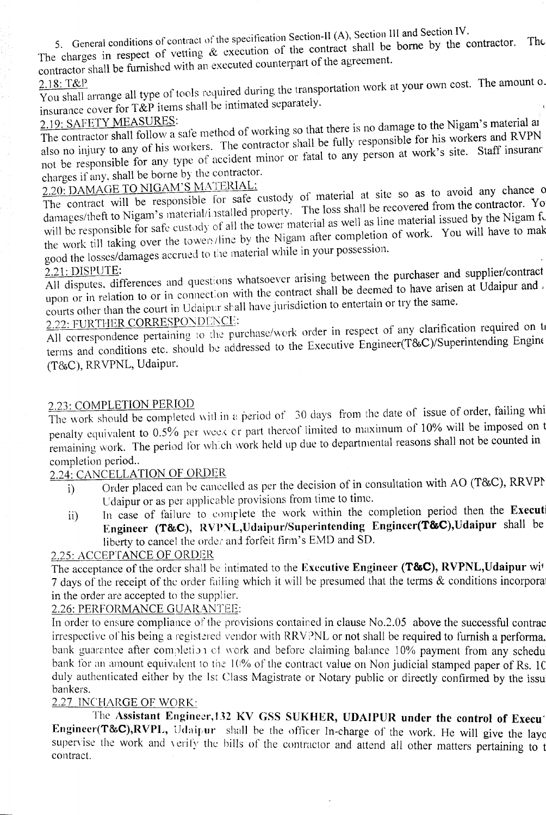- 5. General conditions of contract of the specification Section-II (A), Section III and Section IV.
- The charges in respect of vetting & execution of the contract shall be borne by the contractor. The contractor shall be furnished with an executed counterpart of the agreement.
	-

You shall arrange all type of tools required during the transportation work at your own cost. The amount o. insurance cover for T&P items shall be intimated separately.

## 2.]9: SAFETY MEASURES:

The contractor shall follow a safe method of working so that there is no damage to the Nigam's material and also no injury to any of his workers. The contractor shall be fully responsible for his workers and RVPN not be responsible for any type of accident minor or fatal to any person at work's site. Staff insuranr charges if any, shall be borne by the contractor.

# 2.20: DAMAGE TO NIGAM'S MATERIAL:

The contract will be responsible for safe custody of material at site so as to avoid any chance of damages/theft to Nigam's material/installed property. The loss shall be recovered from the contractor. Yo will be responsible for safe custody of all the tower material as well as line material issued by the Nigam f, the work till taking over the towers/line by the Nigam after completion of work. You will have to mak good the losses/damages accrued to the material while in your possession.

All disputes, differences and questions whatsoever arising between the purchaser and supplier/contract upon or in relation to or in connection with the contract shall be deemed to have arisen at Udaipur and, courts other than the court in Udaipur shall have jurisdiction to entertain or try the same.

## 2.22: FURTHER CORRESPONDENCE:

All correspondence pertaining to the purchase/work order in respect of any clarification required on to terms and conditions etc. should be addressed to the Executive Engineer(T&C)/Superintending Engine (T&C), RRVPNL, Udaipur.

## 2.23: COMPLETION PERIOD

The work should be completed within a period of 30 days from the date of issue of order, failing whi penalty equivalent to 0.5% per week or part thereof limited to maximum of 10% will be imposed on t remanung work. The period for wh ch work held up due to departmental reasons shall not be counted in completion period..

## 2.24: CANCELLATION OF ORDER

- $\overline{r}$  . Order placed can be cancelled as per the decision of in consultation with AO (T&C), RRVPl Udaipur or as per applicable provisions from time to time.
- In case of failure to complete the work within the completion period then the Execut Engineer (T&C), RVPNL,Udaipur/Superintending Engineer(T&C),Udaipur shall be liberty to cancel the order and forfeit firm's EMD and SO. ' ii)

## 2.25: ACCEPTANCE OF ORDER

The acceptance of the order shall be intimated to the Executive Engineer (T&C), RVPNL, Udaipur with 7 days of the receipt of the order failing which it will be presumed that the terms  $\&$  conditions incorporal *m* days of the receipt of the order railing without it wift be presumed that the terms as conditions incorporation.

## 2.26: PERFORMANCE GUARANTEE:

In order to ensure compliance of the provisions contained in clause  $No.2.05$  above the successful contraction irrespective of his being a registered vendor with RRVPNL or not shall be required to furnish a performa. bank guarantee after completion of work and before claiming balance 10% payment from any schedu. bank for an amount equivalent to the 10% of the contract value on Non judicial stamped paper of Rs. 10 duly authenticated either by the 1st Class Magistrate or Notary public or directly confirmed by the issue

## 2.27 INCHARGE OF WORK:

The Assistant Engineer, 132 KV GSS SUKHER, UDAIPUR under the control of Execu-Engineer(T&C),RVPL, Udaipur shall be the officer In-charge of the work. He will give the layo supervise the work and  $\chi$  erify the hills of the contractor and attend all other metters negatives to the supervise the work and verify the bills of the contractor and attend all other matters pertaining to t